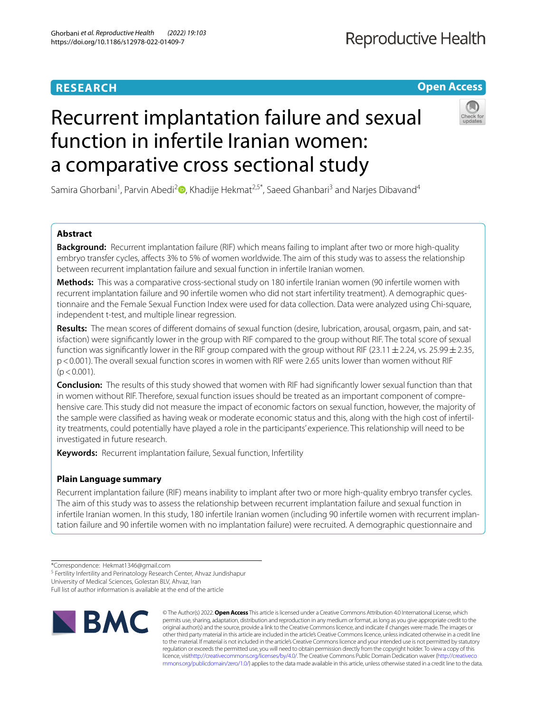## **RESEARCH**

## **Open Access**

# Recurrent implantation failure and sexual function in infertile Iranian women: a comparative cross sectional study



Samira Ghorbani<sup>1</sup>[,](http://orcid.org/0000-0002-6980-0693) Parvin Abedi<sup>2</sup><sup>®</sup>, Khadije Hekmat<sup>2,5\*</sup>, Saeed Ghanbari<sup>3</sup> and Narjes Dibavand<sup>4</sup>

## **Abstract**

**Background:** Recurrent implantation failure (RIF) which means failing to implant after two or more high-quality embryo transfer cycles, afects 3% to 5% of women worldwide. The aim of this study was to assess the relationship between recurrent implantation failure and sexual function in infertile Iranian women.

**Methods:** This was a comparative cross-sectional study on 180 infertile Iranian women (90 infertile women with recurrent implantation failure and 90 infertile women who did not start infertility treatment). A demographic questionnaire and the Female Sexual Function Index were used for data collection. Data were analyzed using Chi-square, independent t-test, and multiple linear regression.

**Results:** The mean scores of diferent domains of sexual function (desire, lubrication, arousal, orgasm, pain, and satisfaction) were signifcantly lower in the group with RIF compared to the group without RIF. The total score of sexual function was significantly lower in the RIF group compared with the group without RIF (23.11  $\pm$  2.24, vs. 25.99  $\pm$  2.35, p<0.001). The overall sexual function scores in women with RIF were 2.65 units lower than women without RIF  $(p < 0.001)$ .

**Conclusion:** The results of this study showed that women with RIF had signifcantly lower sexual function than that in women without RIF. Therefore, sexual function issues should be treated as an important component of comprehensive care. This study did not measure the impact of economic factors on sexual function, however, the majority of the sample were classifed as having weak or moderate economic status and this, along with the high cost of infertility treatments, could potentially have played a role in the participants' experience. This relationship will need to be investigated in future research.

**Keywords:** Recurrent implantation failure, Sexual function, Infertility

## **Plain Language summary**

Recurrent implantation failure (RIF) means inability to implant after two or more high-quality embryo transfer cycles. The aim of this study was to assess the relationship between recurrent implantation failure and sexual function in infertile Iranian women. In this study, 180 infertile Iranian women (including 90 infertile women with recurrent implantation failure and 90 infertile women with no implantation failure) were recruited. A demographic questionnaire and

<sup>5</sup> Fertility Infertility and Perinatology Research Center, Ahvaz Jundishapur

University of Medical Sciences, Golestan BLV, Ahvaz, Iran

Full list of author information is available at the end of the article



© The Author(s) 2022. **Open Access** This article is licensed under a Creative Commons Attribution 4.0 International License, which permits use, sharing, adaptation, distribution and reproduction in any medium or format, as long as you give appropriate credit to the original author(s) and the source, provide a link to the Creative Commons licence, and indicate if changes were made. The images or other third party material in this article are included in the article's Creative Commons licence, unless indicated otherwise in a credit line to the material. If material is not included in the article's Creative Commons licence and your intended use is not permitted by statutory regulation or exceeds the permitted use, you will need to obtain permission directly from the copyright holder. To view a copy of this licence, visi[thttp://creativecommons.org/licenses/by/4.0/](http://creativecommons.org/licenses/by/4.0/). The Creative Commons Public Domain Dedication waiver [\(http://creativeco](http://creativecommons.org/publicdomain/zero/1.0/) [mmons.org/publicdomain/zero/1.0/](http://creativecommons.org/publicdomain/zero/1.0/)) applies to the data made available in this article, unless otherwise stated in a credit line to the data.

<sup>\*</sup>Correspondence: Hekmat1346@gmail.com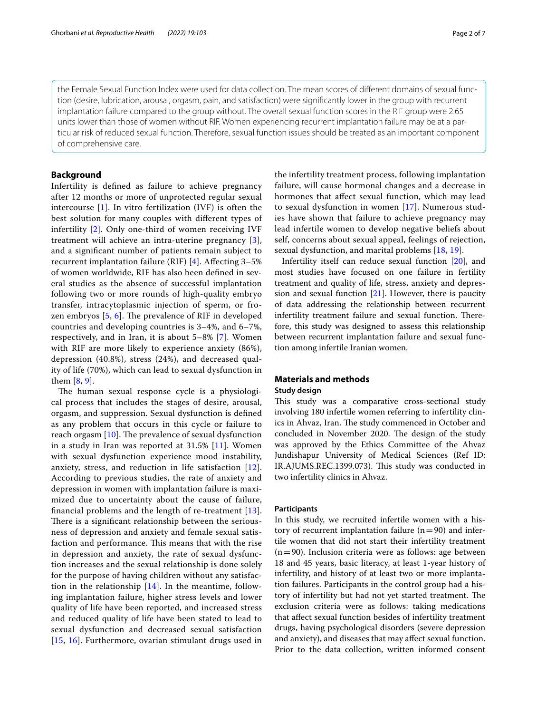the Female Sexual Function Index were used for data collection. The mean scores of diferent domains of sexual function (desire, lubrication, arousal, orgasm, pain, and satisfaction) were signifcantly lower in the group with recurrent implantation failure compared to the group without. The overall sexual function scores in the RIF group were 2.65 units lower than those of women without RIF. Women experiencing recurrent implantation failure may be at a particular risk of reduced sexual function. Therefore, sexual function issues should be treated as an important component of comprehensive care.

#### **Background**

Infertility is defned as failure to achieve pregnancy after 12 months or more of unprotected regular sexual intercourse [\[1](#page-5-0)]. In vitro fertilization (IVF) is often the best solution for many couples with diferent types of infertility [\[2](#page-5-1)]. Only one-third of women receiving IVF treatment will achieve an intra-uterine pregnancy [[3\]](#page-5-2), and a signifcant number of patients remain subject to recurrent implantation failure (RIF) [[4](#page-5-3)]. Afecting 3–5% of women worldwide, RIF has also been defned in several studies as the absence of successful implantation following two or more rounds of high-quality embryo transfer, intracytoplasmic injection of sperm, or frozen embryos  $[5, 6]$  $[5, 6]$  $[5, 6]$  $[5, 6]$  $[5, 6]$ . The prevalence of RIF in developed countries and developing countries is 3–4%, and 6–7%, respectively, and in Iran, it is about 5–8% [\[7](#page-6-0)]. Women with RIF are more likely to experience anxiety (86%), depression (40.8%), stress (24%), and decreased quality of life (70%), which can lead to sexual dysfunction in them [\[8](#page-6-1), [9](#page-6-2)].

The human sexual response cycle is a physiological process that includes the stages of desire, arousal, orgasm, and suppression. Sexual dysfunction is defned as any problem that occurs in this cycle or failure to reach orgasm  $[10]$  $[10]$ . The prevalence of sexual dysfunction in a study in Iran was reported at 31.5% [[11](#page-6-4)]. Women with sexual dysfunction experience mood instability, anxiety, stress, and reduction in life satisfaction [[12\]](#page-6-5). According to previous studies, the rate of anxiety and depression in women with implantation failure is maximized due to uncertainty about the cause of failure, fnancial problems and the length of re-treatment [[13\]](#page-6-6). There is a significant relationship between the seriousness of depression and anxiety and female sexual satisfaction and performance. This means that with the rise in depression and anxiety, the rate of sexual dysfunction increases and the sexual relationship is done solely for the purpose of having children without any satisfaction in the relationship  $[14]$ . In the meantime, following implantation failure, higher stress levels and lower quality of life have been reported, and increased stress and reduced quality of life have been stated to lead to sexual dysfunction and decreased sexual satisfaction [[15](#page-6-8), [16\]](#page-6-9). Furthermore, ovarian stimulant drugs used in the infertility treatment process, following implantation failure, will cause hormonal changes and a decrease in hormones that afect sexual function, which may lead to sexual dysfunction in women [[17\]](#page-6-10). Numerous studies have shown that failure to achieve pregnancy may lead infertile women to develop negative beliefs about self, concerns about sexual appeal, feelings of rejection, sexual dysfunction, and marital problems [\[18](#page-6-11), [19](#page-6-12)].

Infertility itself can reduce sexual function [[20](#page-6-13)], and most studies have focused on one failure in fertility treatment and quality of life, stress, anxiety and depression and sexual function  $[21]$  $[21]$ . However, there is paucity of data addressing the relationship between recurrent infertility treatment failure and sexual function. Therefore, this study was designed to assess this relationship between recurrent implantation failure and sexual function among infertile Iranian women.

## **Materials and methods**

## **Study design**

This study was a comparative cross-sectional study involving 180 infertile women referring to infertility clinics in Ahvaz, Iran. The study commenced in October and concluded in November 2020. The design of the study was approved by the Ethics Committee of the Ahvaz Jundishapur University of Medical Sciences (Ref ID: IR.AJUMS.REC.1399.073). This study was conducted in two infertility clinics in Ahvaz.

#### **Participants**

In this study, we recruited infertile women with a history of recurrent implantation failure  $(n=90)$  and infertile women that did not start their infertility treatment  $(n=90)$ . Inclusion criteria were as follows: age between 18 and 45 years, basic literacy, at least 1-year history of infertility, and history of at least two or more implantation failures. Participants in the control group had a history of infertility but had not yet started treatment. The exclusion criteria were as follows: taking medications that afect sexual function besides of infertility treatment drugs, having psychological disorders (severe depression and anxiety), and diseases that may afect sexual function. Prior to the data collection, written informed consent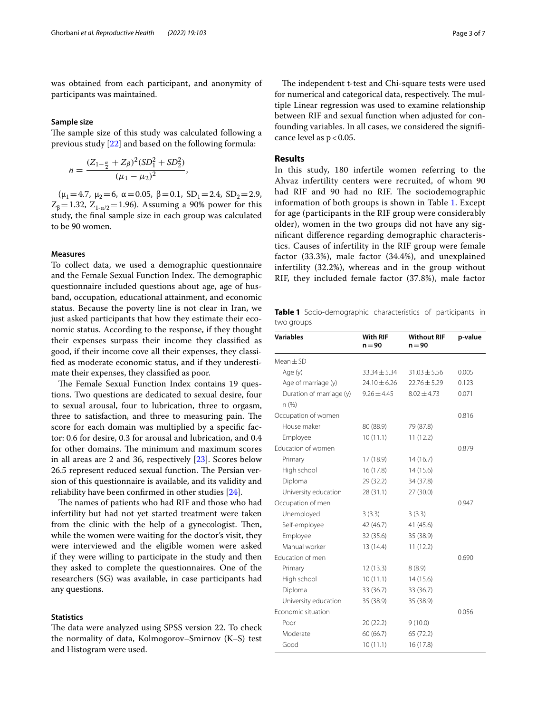was obtained from each participant, and anonymity of participants was maintained.

#### **Sample size**

The sample size of this study was calculated following a previous study [[22\]](#page-6-15) and based on the following formula:

$$
n = \frac{(Z_{1-\frac{\alpha}{2}} + Z_{\beta})^2 (SD_1^2 + SD_2^2)}{(\mu_1 - \mu_2)^2},
$$

( $\mu_1$ =4.7,  $\mu_2$ =6,  $\alpha$  = 0.05,  $\beta$  = 0.1, SD<sub>1</sub> = 2.4, SD<sub>2</sub> = 2.9,  $Z_{\beta} = 1.32$ ,  $Z_{1-\alpha/2} = 1.96$ ). Assuming a 90% power for this study, the fnal sample size in each group was calculated to be 90 women.

#### **Measures**

To collect data, we used a demographic questionnaire and the Female Sexual Function Index. The demographic questionnaire included questions about age, age of husband, occupation, educational attainment, and economic status. Because the poverty line is not clear in Iran, we just asked participants that how they estimate their economic status. According to the response, if they thought their expenses surpass their income they classifed as good, if their income cove all their expenses, they classifed as moderate economic status, and if they underestimate their expenses, they classifed as poor.

The Female Sexual Function Index contains 19 questions. Two questions are dedicated to sexual desire, four to sexual arousal, four to lubrication, three to orgasm, three to satisfaction, and three to measuring pain. The score for each domain was multiplied by a specifc factor: 0.6 for desire, 0.3 for arousal and lubrication, and 0.4 for other domains. The minimum and maximum scores in all areas are 2 and 36, respectively [[23\]](#page-6-16). Scores below 26.5 represent reduced sexual function. The Persian version of this questionnaire is available, and its validity and reliability have been confrmed in other studies [[24\]](#page-6-17).

The names of patients who had RIF and those who had infertility but had not yet started treatment were taken from the clinic with the help of a gynecologist. Then, while the women were waiting for the doctor's visit, they were interviewed and the eligible women were asked if they were willing to participate in the study and then they asked to complete the questionnaires. One of the researchers (SG) was available, in case participants had any questions.

#### **Statistics**

The data were analyzed using SPSS version 22. To check the normality of data, Kolmogorov–Smirnov (K–S) test and Histogram were used.

The independent t-test and Chi-square tests were used for numerical and categorical data, respectively. The multiple Linear regression was used to examine relationship between RIF and sexual function when adjusted for confounding variables. In all cases, we considered the signifcance level as  $p < 0.05$ .

#### **Results**

In this study, 180 infertile women referring to the Ahvaz infertility centers were recruited, of whom 90 had RIF and 90 had no RIF. The sociodemographic information of both groups is shown in Table [1](#page-2-0). Except for age (participants in the RIF group were considerably older), women in the two groups did not have any signifcant diference regarding demographic characteristics. Causes of infertility in the RIF group were female factor (33.3%), male factor (34.4%), and unexplained infertility (32.2%), whereas and in the group without RIF, they included female factor (37.8%), male factor

<span id="page-2-0"></span>**Table 1** Socio-demographic characteristics of participants in two groups

| <b>Variables</b>         | <b>With RIF</b><br>$n = 90$ | <b>Without RIF</b><br>$n = 90$ | p-value |
|--------------------------|-----------------------------|--------------------------------|---------|
| $Mean + SD$              |                             |                                |         |
| Age (y)                  | $33.34 \pm 5.34$            | $31.03 \pm 5.56$               | 0.005   |
| Age of marriage (y)      | $24.10 \pm 6.26$            | $22.76 \pm 5.29$               | 0.123   |
| Duration of marriage (y) | $9.26 \pm 4.45$             | $8.02 \pm 4.73$                | 0.071   |
| n(%)                     |                             |                                |         |
| Occupation of women      |                             |                                | 0.816   |
| House maker              | 80 (88.9)                   | 79 (87.8)                      |         |
| Employee                 | 10(11.1)                    | 11(12.2)                       |         |
| Education of women       |                             |                                | 0.879   |
| Primary                  | 17 (18.9)                   | 14(16.7)                       |         |
| High school              | 16(17.8)                    | 14(15.6)                       |         |
| Diploma                  | 29 (32.2)                   | 34 (37.8)                      |         |
| University education     | 28 (31.1)                   | 27 (30.0)                      |         |
| Occupation of men        |                             |                                | 0.947   |
| Unemployed               | 3(3.3)                      | 3(3.3)                         |         |
| Self-employee            | 42 (46.7)                   | 41 (45.6)                      |         |
| Employee                 | 32 (35.6)                   | 35 (38.9)                      |         |
| Manual worker            | 13 (14.4)                   | 11(12.2)                       |         |
| Education of men         |                             |                                | 0.690   |
| Primary                  | 12(13.3)                    | 8(8.9)                         |         |
| High school              | 10(11.1)                    | 14 (15.6)                      |         |
| Diploma                  | 33 (36.7)                   | 33 (36.7)                      |         |
| University education     | 35 (38.9)                   | 35 (38.9)                      |         |
| Economic situation       |                             |                                | 0.056   |
| Poor                     | 20(22.2)                    | 9(10.0)                        |         |
| Moderate                 | 60 (66.7)                   | 65 (72.2)                      |         |
| Good                     | 10(11.1)                    | 16 (17.8)                      |         |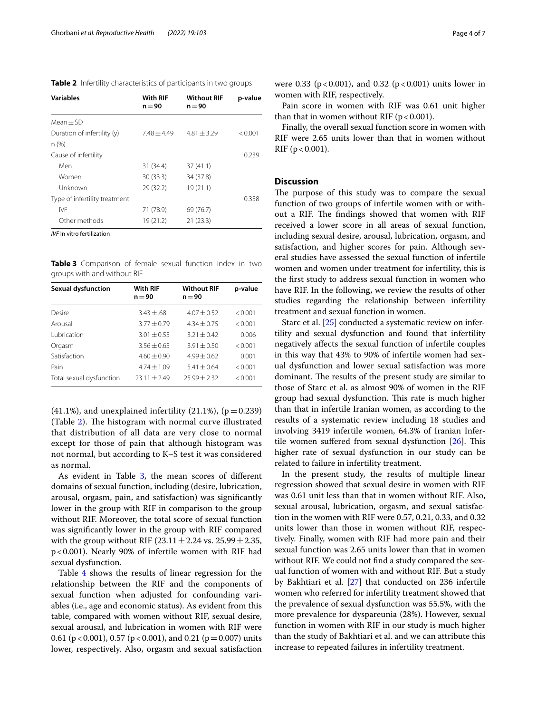<span id="page-3-0"></span>

|  |  |  | Table 2 Infertility characteristics of participants in two groups |  |
|--|--|--|-------------------------------------------------------------------|--|
|--|--|--|-------------------------------------------------------------------|--|

| <b>Variables</b>              | <b>With RIF</b><br>$n = 90$ | <b>Without RIF</b><br>$n = 90$ | p-value |
|-------------------------------|-----------------------------|--------------------------------|---------|
| $Mean + SD$                   |                             |                                |         |
| Duration of infertility (y)   | $7.48 + 4.49$               | $4.81 + 3.29$                  | < 0.001 |
| n (%)                         |                             |                                |         |
| Cause of infertility          |                             |                                | 0.239   |
| Men                           | 31 (34.4)                   | 37(41.1)                       |         |
| Women                         | 30(33.3)                    | 34 (37.8)                      |         |
| Unknown                       | 29 (32.2)                   | 19(21.1)                       |         |
| Type of infertility treatment |                             |                                | 0.358   |
| IVF                           | 71 (78.9)                   | 69 (76.7)                      |         |
| Other methods                 | 19 (21.2)                   | 21(23.3)                       |         |

*IVF* In vitro fertilization

<span id="page-3-1"></span>**Table 3** Comparison of female sexual function index in two groups with and without RIF

| <b>Without RIF</b><br>p-value<br>$n = 90$ |
|-------------------------------------------|
| $4.07 + 0.52$<br>< 0.001                  |
| $4.34 + 0.75$<br>< 0.001                  |
| $3.21 \pm 0.42$<br>0.006                  |
| $3.91 + 0.50$<br>< 0.001                  |
| $4.99 + 0.62$<br>0.001                    |
| < 0.001<br>$5.41 + 0.64$                  |
| $75.99 + 7.32$<br>< 0.001                 |
|                                           |

(41.1%), and unexplained infertility (21.1%),  $(p=0.239)$ (Table [2](#page-3-0)). The histogram with normal curve illustrated that distribution of all data are very close to normal except for those of pain that although histogram was not normal, but according to K–S test it was considered as normal.

As evident in Table [3](#page-3-1), the mean scores of different domains of sexual function, including (desire, lubrication, arousal, orgasm, pain, and satisfaction) was signifcantly lower in the group with RIF in comparison to the group without RIF. Moreover, the total score of sexual function was signifcantly lower in the group with RIF compared with the group without RIF (23.11  $\pm$  2.24 vs. 25.99  $\pm$  2.35, p<0.001). Nearly 90% of infertile women with RIF had sexual dysfunction.

Table [4](#page-4-0) shows the results of linear regression for the relationship between the RIF and the components of sexual function when adjusted for confounding variables (i.e., age and economic status). As evident from this table, compared with women without RIF, sexual desire, sexual arousal, and lubrication in women with RIF were 0.61 ( $p < 0.001$ ), 0.57 ( $p < 0.001$ ), and 0.21 ( $p = 0.007$ ) units lower, respectively. Also, orgasm and sexual satisfaction were 0.33 ( $p < 0.001$ ), and 0.32 ( $p < 0.001$ ) units lower in women with RIF, respectively.

Pain score in women with RIF was 0.61 unit higher than that in women without RIF ( $p < 0.001$ ).

Finally, the overall sexual function score in women with RIF were 2.65 units lower than that in women without  $RIF (p < 0.001)$ .

## **Discussion**

The purpose of this study was to compare the sexual function of two groups of infertile women with or without a RIF. The findings showed that women with RIF received a lower score in all areas of sexual function, including sexual desire, arousal, lubrication, orgasm, and satisfaction, and higher scores for pain. Although several studies have assessed the sexual function of infertile women and women under treatment for infertility, this is the frst study to address sexual function in women who have RIF. In the following, we review the results of other studies regarding the relationship between infertility treatment and sexual function in women.

Starc et al. [[25\]](#page-6-18) conducted a systematic review on infertility and sexual dysfunction and found that infertility negatively afects the sexual function of infertile couples in this way that 43% to 90% of infertile women had sexual dysfunction and lower sexual satisfaction was more dominant. The results of the present study are similar to those of Starc et al. as almost 90% of women in the RIF group had sexual dysfunction. This rate is much higher than that in infertile Iranian women, as according to the results of a systematic review including 18 studies and involving 3419 infertile women, 64.3% of Iranian Infertile women suffered from sexual dysfunction  $[26]$  $[26]$ . This higher rate of sexual dysfunction in our study can be related to failure in infertility treatment.

In the present study, the results of multiple linear regression showed that sexual desire in women with RIF was 0.61 unit less than that in women without RIF. Also, sexual arousal, lubrication, orgasm, and sexual satisfaction in the women with RIF were 0.57, 0.21, 0.33, and 0.32 units lower than those in women without RIF, respectively. Finally, women with RIF had more pain and their sexual function was 2.65 units lower than that in women without RIF. We could not fnd a study compared the sexual function of women with and without RIF. But a study by Bakhtiari et al. [\[27](#page-6-20)] that conducted on 236 infertile women who referred for infertility treatment showed that the prevalence of sexual dysfunction was 55.5%, with the more prevalence for dyspareunia (28%). However, sexual function in women with RIF in our study is much higher than the study of Bakhtiari et al. and we can attribute this increase to repeated failures in infertility treatment.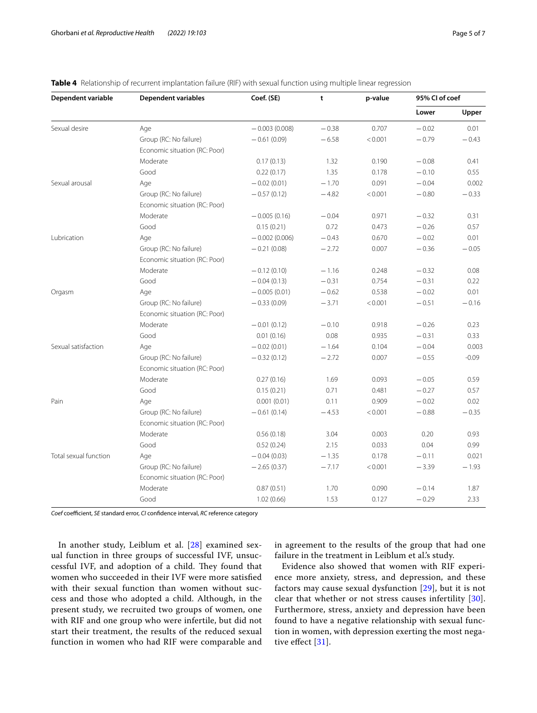| Dependent variable    | <b>Dependent variables</b>    | Coef. (SE)      | t       | p-value | 95% CI of coef |         |  |  |
|-----------------------|-------------------------------|-----------------|---------|---------|----------------|---------|--|--|
|                       |                               |                 |         |         | Lower          | Upper   |  |  |
| Sexual desire         | Age                           | $-0.003(0.008)$ | $-0.38$ | 0.707   | $-0.02$        | 0.01    |  |  |
|                       | Group (RC: No failure)        | $-0.61(0.09)$   | $-6.58$ | < 0.001 | $-0.79$        | $-0.43$ |  |  |
|                       | Economic situation (RC: Poor) |                 |         |         |                |         |  |  |
|                       | Moderate                      | 0.17(0.13)      | 1.32    | 0.190   | $-0.08$        | 0.41    |  |  |
|                       | Good                          | 0.22(0.17)      | 1.35    | 0.178   | $-0.10$        | 0.55    |  |  |
| Sexual arousal        | Age                           | $-0.02(0.01)$   | $-1.70$ | 0.091   | $-0.04$        | 0.002   |  |  |
|                       | Group (RC: No failure)        | $-0.57(0.12)$   | $-4.82$ | < 0.001 | $-0.80$        | $-0.33$ |  |  |
|                       | Economic situation (RC: Poor) |                 |         |         |                |         |  |  |
|                       | Moderate                      | $-0.005(0.16)$  | $-0.04$ | 0.971   | $-0.32$        | 0.31    |  |  |
|                       | Good                          | 0.15(0.21)      | 0.72    | 0.473   | $-0.26$        | 0.57    |  |  |
| Lubrication           | Age                           | $-0.002(0.006)$ | $-0.43$ | 0.670   | $-0.02$        | 0.01    |  |  |
|                       | Group (RC: No failure)        | $-0.21(0.08)$   | $-2.72$ | 0.007   | $-0.36$        | $-0.05$ |  |  |
|                       | Economic situation (RC: Poor) |                 |         |         |                |         |  |  |
|                       | Moderate                      | $-0.12(0.10)$   | $-1.16$ | 0.248   | $-0.32$        | 0.08    |  |  |
|                       | Good                          | $-0.04(0.13)$   | $-0.31$ | 0.754   | $-0.31$        | 0.22    |  |  |
| Orgasm                | Age                           | $-0.005(0.01)$  | $-0.62$ | 0.538   | $-0.02$        | 0.01    |  |  |
|                       | Group (RC: No failure)        | $-0.33(0.09)$   | $-3.71$ | < 0.001 | $-0.51$        | $-0.16$ |  |  |
|                       | Economic situation (RC: Poor) |                 |         |         |                |         |  |  |
|                       | Moderate                      | $-0.01(0.12)$   | $-0.10$ | 0.918   | $-0.26$        | 0.23    |  |  |
|                       | Good                          | 0.01(0.16)      | 0.08    | 0.935   | $-0.31$        | 0.33    |  |  |
| Sexual satisfaction   | Age                           | $-0.02(0.01)$   | $-1.64$ | 0.104   | $-0.04$        | 0.003   |  |  |
|                       | Group (RC: No failure)        | $-0.32(0.12)$   | $-2.72$ | 0.007   | $-0.55$        | $-0.09$ |  |  |
|                       | Economic situation (RC: Poor) |                 |         |         |                |         |  |  |
|                       | Moderate                      | 0.27(0.16)      | 1.69    | 0.093   | $-0.05$        | 0.59    |  |  |
|                       | Good                          | 0.15(0.21)      | 0.71    | 0.481   | $-0.27$        | 0.57    |  |  |
| Pain                  | Age                           | 0.001(0.01)     | 0.11    | 0.909   | $-0.02$        | 0.02    |  |  |
|                       | Group (RC: No failure)        | $-0.61(0.14)$   | $-4.53$ | < 0.001 | $-0.88$        | $-0.35$ |  |  |
|                       | Economic situation (RC: Poor) |                 |         |         |                |         |  |  |
|                       | Moderate                      | 0.56(0.18)      | 3.04    | 0.003   | 0.20           | 0.93    |  |  |
|                       | Good                          | 0.52(0.24)      | 2.15    | 0.033   | 0.04           | 0.99    |  |  |
| Total sexual function | Age                           | $-0.04(0.03)$   | $-1.35$ | 0.178   | $-0.11$        | 0.021   |  |  |
|                       | Group (RC: No failure)        | $-2.65(0.37)$   | $-7.17$ | < 0.001 | $-3.39$        | $-1.93$ |  |  |
|                       | Economic situation (RC: Poor) |                 |         |         |                |         |  |  |
|                       | Moderate                      | 0.87(0.51)      | 1.70    | 0.090   | $-0.14$        | 1.87    |  |  |
|                       | Good                          | 1.02(0.66)      | 1.53    | 0.127   | $-0.29$        | 2.33    |  |  |

<span id="page-4-0"></span>**Table 4** Relationship of recurrent implantation failure (RIF) with sexual function using multiple linear regression

*Coef* coefficient, *SE* standard error, *CI* confidence interval, *RC* reference category

In another study, Leiblum et al. [\[28](#page-6-21)] examined sexual function in three groups of successful IVF, unsuccessful IVF, and adoption of a child. They found that women who succeeded in their IVF were more satisfed with their sexual function than women without success and those who adopted a child. Although, in the present study, we recruited two groups of women, one with RIF and one group who were infertile, but did not start their treatment, the results of the reduced sexual function in women who had RIF were comparable and in agreement to the results of the group that had one failure in the treatment in Leiblum et al.'s study.

Evidence also showed that women with RIF experience more anxiety, stress, and depression, and these factors may cause sexual dysfunction [\[29](#page-6-22)], but it is not clear that whether or not stress causes infertility [[30](#page-6-23)]. Furthermore, stress, anxiety and depression have been found to have a negative relationship with sexual function in women, with depression exerting the most negative efect [\[31\]](#page-6-24).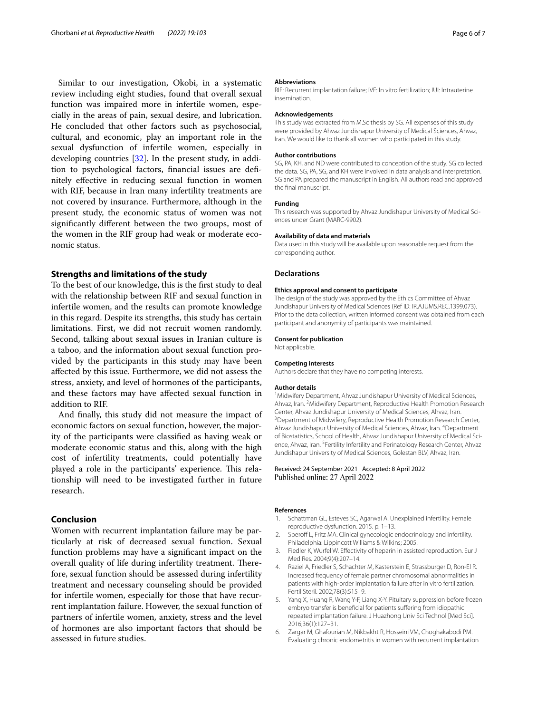Similar to our investigation, Okobi, in a systematic review including eight studies, found that overall sexual function was impaired more in infertile women, especially in the areas of pain, sexual desire, and lubrication. He concluded that other factors such as psychosocial, cultural, and economic, play an important role in the sexual dysfunction of infertile women, especially in developing countries [[32](#page-6-25)]. In the present study, in addition to psychological factors, fnancial issues are defnitely efective in reducing sexual function in women with RIF, because in Iran many infertility treatments are not covered by insurance. Furthermore, although in the present study, the economic status of women was not signifcantly diferent between the two groups, most of the women in the RIF group had weak or moderate economic status.

#### **Strengths and limitations of the study**

To the best of our knowledge, this is the frst study to deal with the relationship between RIF and sexual function in infertile women, and the results can promote knowledge in this regard. Despite its strengths, this study has certain limitations. First, we did not recruit women randomly. Second, talking about sexual issues in Iranian culture is a taboo, and the information about sexual function provided by the participants in this study may have been afected by this issue. Furthermore, we did not assess the stress, anxiety, and level of hormones of the participants, and these factors may have afected sexual function in addition to RIF.

And fnally, this study did not measure the impact of economic factors on sexual function, however, the majority of the participants were classifed as having weak or moderate economic status and this, along with the high cost of infertility treatments, could potentially have played a role in the participants' experience. This relationship will need to be investigated further in future research.

## **Conclusion**

Women with recurrent implantation failure may be particularly at risk of decreased sexual function. Sexual function problems may have a signifcant impact on the overall quality of life during infertility treatment. Therefore, sexual function should be assessed during infertility treatment and necessary counseling should be provided for infertile women, especially for those that have recurrent implantation failure. However, the sexual function of partners of infertile women, anxiety, stress and the level of hormones are also important factors that should be assessed in future studies.

#### **Abbreviations**

RIF: Recurrent implantation failure; IVF: In vitro fertilization; IUI: Intrauterine insemination.

#### **Acknowledgements**

This study was extracted from M.Sc thesis by SG. All expenses of this study were provided by Ahvaz Jundishapur University of Medical Sciences, Ahvaz, Iran. We would like to thank all women who participated in this study.

#### **Author contributions**

SG, PA, KH, and ND were contributed to conception of the study. SG collected the data. SG, PA, SG, and KH were involved in data analysis and interpretation. SG and PA prepared the manuscript in English. All authors read and approved the fnal manuscript.

#### **Funding**

This research was supported by Ahvaz Jundishapur University of Medical Sciences under Grant (MARC-9902).

#### **Availability of data and materials**

Data used in this study will be available upon reasonable request from the corresponding author.

#### **Declarations**

#### **Ethics approval and consent to participate**

The design of the study was approved by the Ethics Committee of Ahvaz Jundishapur University of Medical Sciences (Ref ID: IR.AJUMS.REC.1399.073). Prior to the data collection, written informed consent was obtained from each participant and anonymity of participants was maintained.

#### **Consent for publication**

Not applicable.

#### **Competing interests**

Authors declare that they have no competing interests.

#### **Author details**

<sup>1</sup> Midwifery Department, Ahvaz Jundishapur University of Medical Sciences, Ahvaz, Iran. <sup>2</sup> Midwifery Department, Reproductive Health Promotion Research Center, Ahvaz Jundishapur University of Medical Sciences, Ahvaz, Iran. 3 <sup>3</sup> Department of Midwifery, Reproductive Health Promotion Research Center, Ahvaz Jundishapur University of Medical Sciences, Ahvaz, Iran. <sup>4</sup>Department of Biostatistics, School of Health, Ahvaz Jundishapur University of Medical Science, Ahvaz, Iran. <sup>5</sup> Fertility Infertility and Perinatology Research Center, Ahvaz Jundishapur University of Medical Sciences, Golestan BLV, Ahvaz, Iran.

#### Received: 24 September 2021 Accepted: 8 April 2022 Published online: 27 April 2022

#### **References**

- <span id="page-5-0"></span>1. Schattman GL, Esteves SC, Agarwal A. Unexplained infertility. Female reproductive dysfunction. 2015. p. 1–13.
- <span id="page-5-1"></span>2. Speroff L, Fritz MA. Clinical gynecologic endocrinology and infertility. Philadelphia: Lippincott Williams & Wilkins; 2005.
- <span id="page-5-2"></span>3. Fiedler K, Wurfel W. Efectivity of heparin in assisted reproduction. Eur J Med Res. 2004;9(4):207–14.
- <span id="page-5-3"></span>Raziel A, Friedler S, Schachter M, Kasterstein E, Strassburger D, Ron-El R. Increased frequency of female partner chromosomal abnormalities in patients with high-order implantation failure after in vitro fertilization. Fertil Steril. 2002;78(3):515–9.
- <span id="page-5-4"></span>5. Yang X, Huang R, Wang Y-F, Liang X-Y. Pituitary suppression before frozen embryo transfer is benefcial for patients sufering from idiopathic repeated implantation failure. J Huazhong Univ Sci Technol [Med Sci]. 2016;36(1):127–31.
- <span id="page-5-5"></span>Zargar M, Ghafourian M, Nikbakht R, Hosseini VM, Choghakabodi PM. Evaluating chronic endometritis in women with recurrent implantation